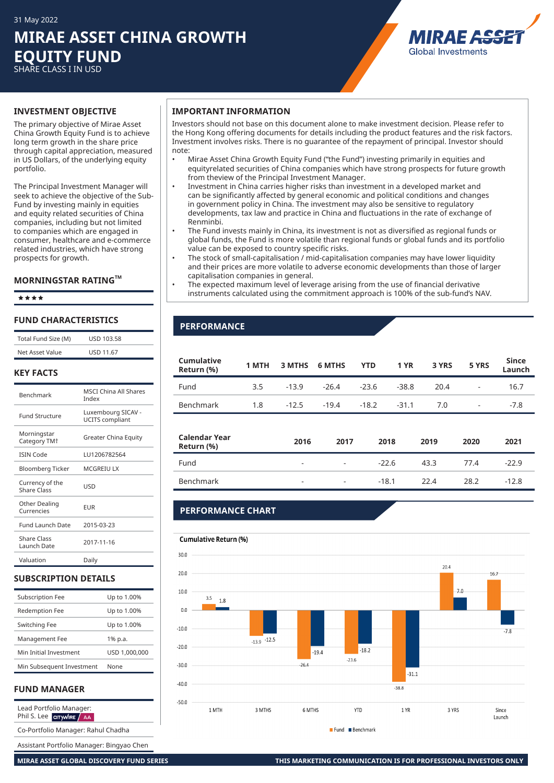## **MIRAE ASSET CHINA GROWTH EQUITY FUND** SHARE CLASS I IN USD

MIRAF A. **Global Investments** 

The primary objective of Mirae Asset China Growth Equity Fund is to achieve long term growth in the share price through capital appreciation, measured in US Dollars, of the underlying equity portfolio.

The Principal Investment Manager will seek to achieve the objective of the Sub-Fund by investing mainly in equities and equity related securities of China companies, including but not limited to companies which are engaged in consumer, healthcare and e-commerce related industries, which have strong prospects for growth.

#### **MORNINGSTAR RATINGTM**

êêêê

#### **FUND CHARACTERISTICS**

| Total Fund Size (M)                     | <b>USD 103.58</b>                            |
|-----------------------------------------|----------------------------------------------|
| Net Asset Value                         | <b>USD 11.67</b>                             |
| <b>KEY FACTS</b>                        |                                              |
| <b>Benchmark</b>                        | <b>MSCI China All Shares</b><br>Index        |
| <b>Fund Structure</b>                   | Luxembourg SICAV -<br><b>UCITS</b> compliant |
| Morningstar<br>Category TM <sup>+</sup> | Greater China Equity                         |
| <b>ISIN Code</b>                        | LU1206782564                                 |
| <b>Bloomberg Ticker</b>                 | <b>MCGREIU LX</b>                            |
| Currency of the<br><b>Share Class</b>   | LISD                                         |
| Other Dealing<br>Currencies             | <b>EUR</b>                                   |
| <b>Fund Launch Date</b>                 | 2015-03-23                                   |
| <b>Share Class</b><br>Launch Date       | 2017-11-16                                   |
| Valuation                               | Daily                                        |

#### **SUBSCRIPTION DETAILS**

| Subscription Fee          | Up to 1.00%   |
|---------------------------|---------------|
| <b>Redemption Fee</b>     | Up to 1.00%   |
| Switching Fee             | Up to 1.00%   |
| Management Fee            | 1% p.a.       |
| Min Initial Investment    | USD 1.000.000 |
| Min Subsequent Investment | None          |

#### **FUND MANAGER**

Lead Portfolio Manager: Phil S. Lee CITYWIRE AA

Co-Portfolio Manager: Rahul Chadha

Assistant Portfolio Manager: Bingyao Chen

#### **INVESTMENT OBJECTIVE IMPORTANT INFORMATION**

Investors should not base on this document alone to make investment decision. Please refer to the Hong Kong offering documents for details including the product features and the risk factors. Investment involves risks. There is no guarantee of the repayment of principal. Investor should note:

- Mirae Asset China Growth Equity Fund ("the Fund") investing primarily in equities and equityrelated securities of China companies which have strong prospects for future growth from theview of the Principal Investment Manager.
- Investment in China carries higher risks than investment in a developed market and can be significantly affected by general economic and political conditions and changes in government policy in China. The investment may also be sensitive to regulatory developments, tax law and practice in China and fluctuations in the rate of exchange of Renminbi.
- The Fund invests mainly in China, its investment is not as diversified as regional funds or global funds, the Fund is more volatile than regional funds or global funds and its portfolio value can be exposed to country specific risks.
- The stock of small-capitalisation / mid-capitalisation companies may have lower liquidity and their prices are more volatile to adverse economic developments than those of larger capitalisation companies in general.
- The expected maximum level of leverage arising from the use of financial derivative instruments calculated using the commitment approach is 100% of the sub-fund's NAV.

#### **PERFORMANCE**

| <b>Cumulative</b><br>Return (%) |     |         | 1 MTH 3 MTHS 6 MTHS YTD 1 YR 3 YRS 5 YRS |                         |       |      |                         | Since<br>Launch |
|---------------------------------|-----|---------|------------------------------------------|-------------------------|-------|------|-------------------------|-----------------|
| Fund                            | 3.5 | $-13.9$ | $-26.4$ $-23.6$                          |                         | -38.8 | 20.4 | <b>Contract</b>         | 16.7            |
| Benchmark                       | 1.8 | $-12.5$ |                                          | $-19.4$ $-18.2$ $-31.1$ |       | 7.0  | $\sim 100$ km s $^{-1}$ | $-7.8$          |

| Calendar Year<br>Return (%) | 2016                     | 2017                     | 2018    | 2019 | 2020 | 2021    |
|-----------------------------|--------------------------|--------------------------|---------|------|------|---------|
| Fund                        | $\overline{\phantom{a}}$ | $\overline{\phantom{a}}$ | $-22.6$ | 43.3 | 77.4 | $-22.9$ |
| Benchmark                   | $\overline{\phantom{0}}$ | $\overline{\phantom{a}}$ | $-18.1$ | 22.4 | 28.2 | $-12.8$ |

### **PERFORMANCE CHART**